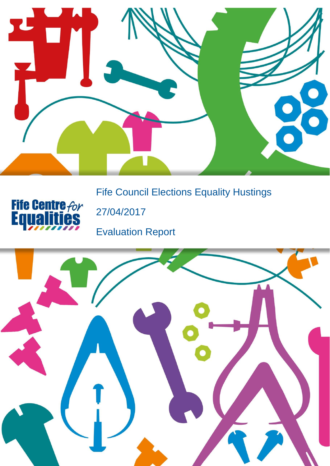

Fife Council Elections Equality Hustings



27/04/2017

Evaluation Report

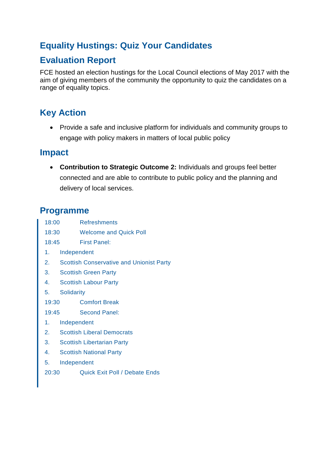# **Equality Hustings: Quiz Your Candidates**

# **Evaluation Report**

FCE hosted an election hustings for the Local Council elections of May 2017 with the aim of giving members of the community the opportunity to quiz the candidates on a range of equality topics.

# **Key Action**

 Provide a safe and inclusive platform for individuals and community groups to engage with policy makers in matters of local public policy

### **Impact**

 **Contribution to Strategic Outcome 2:** Individuals and groups feel better connected and are able to contribute to public policy and the planning and delivery of local services.

## **Programme**

- 18:00 Refreshments
- 18:30 Welcome and Quick Poll
- 18:45 First Panel:
- 1. Independent
- 2. Scottish Conservative and Unionist Party
- 3. Scottish Green Party
- 4. Scottish Labour Party
- 5. Solidarity
- 19:30 Comfort Break
- 19:45 Second Panel:
- 1. Independent
- 2. Scottish Liberal Democrats
- 3. Scottish Libertarian Party
- 4. Scottish National Party
- 5. Independent
- 20:30 Quick Exit Poll / Debate Ends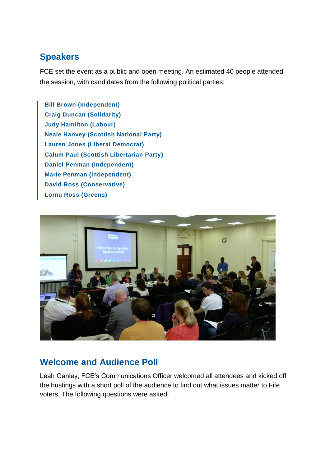# **Speakers**

FCE set the event as a public and open meeting. An estimated 40 people attended the session, with candidates from the following political parties:

**Bill Brown (Independent) Craig Duncan (Solidarity) Judy Hamilton (Labour) Neale Hanvey (Scottish National Party) Lauren Jones (Liberal Democrat) Calum Paul (Scottish Libertarian Party) Daniel Penman (Independent) Marie Penman (Independent) David Ross (Conservative) Lorna Ross (Greens)**



## **Welcome and Audience Poll**

Leah Ganley, FCE's Communications Officer welcomed all attendees and kicked off the hustings with a short poll of the audience to find out what issues matter to Fife voters. The following questions were asked: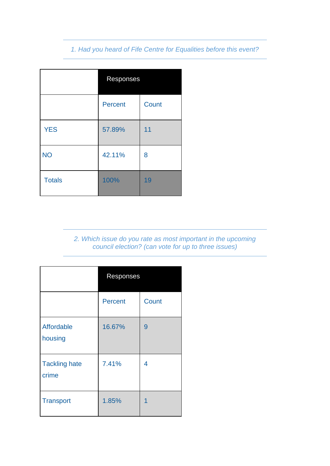### *1. Had you heard of Fife Centre for Equalities before this event?*

|               | Responses      |       |
|---------------|----------------|-------|
|               | <b>Percent</b> | Count |
| <b>YES</b>    | 57.89%         | 11    |
| <b>NO</b>     | 42.11%         | 8     |
| <b>Totals</b> | 100%           | 19    |

*2. Which issue do you rate as most important in the upcoming council election? (can vote for up to three issues)*

|                               | Responses |       |
|-------------------------------|-----------|-------|
|                               | Percent   | Count |
| Affordable<br>housing         | 16.67%    | 9     |
| <b>Tackling hate</b><br>crime | 7.41%     | 4     |
| <b>Transport</b>              | 1.85%     | 1     |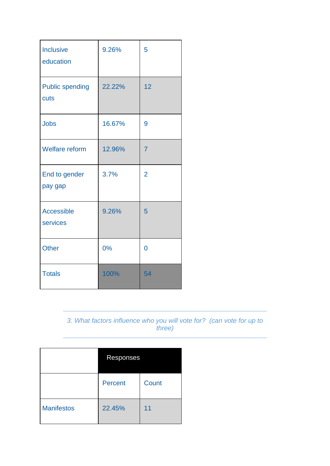| Inclusive<br>education         | 9.26%  | 5              |
|--------------------------------|--------|----------------|
| <b>Public spending</b><br>cuts | 22.22% | 12             |
| <b>Jobs</b>                    | 16.67% | 9              |
| <b>Welfare reform</b>          | 12.96% | $\overline{7}$ |
| End to gender<br>pay gap       | 3.7%   | $\overline{2}$ |
| <b>Accessible</b><br>services  | 9.26%  | 5              |
| <b>Other</b>                   | 0%     | 0              |
| <b>Totals</b>                  | 100%   | 54             |

#### *3. What factors influence who you will vote for? (can vote for up to three)*

|                   | <b>Responses</b> |       |
|-------------------|------------------|-------|
|                   | Percent          | Count |
| <b>Manifestos</b> | 22.45%           | 11    |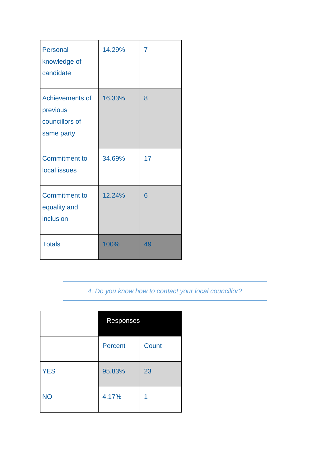| <b>Personal</b><br>knowledge of<br>candidate                | 14.29% | 7  |
|-------------------------------------------------------------|--------|----|
| Achievements of<br>previous<br>councillors of<br>same party | 16.33% | 8  |
| <b>Commitment to</b><br>local issues                        | 34.69% | 17 |
| <b>Commitment to</b><br>equality and<br>inclusion           | 12.24% | 6  |
| <b>Totals</b>                                               | 100%   | 49 |

*4. Do you know how to contact your local councillor?* 

|            | Responses      |       |
|------------|----------------|-------|
|            | <b>Percent</b> | Count |
| <b>YES</b> | 95.83%         | 23    |
| <b>NO</b>  | 4.17%          | 1     |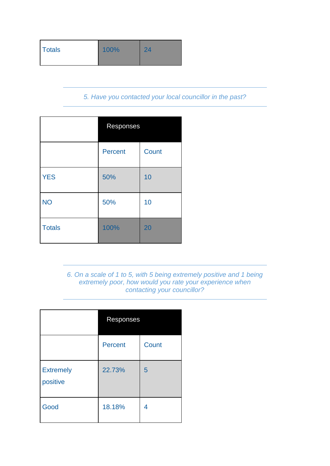| <b>Totals</b><br>100%<br>24 |  |
|-----------------------------|--|
|-----------------------------|--|

#### *5. Have you contacted your local councillor in the past?*

|               | Responses      |       |
|---------------|----------------|-------|
|               | <b>Percent</b> | Count |
| <b>YES</b>    | 50%            | 10    |
| <b>NO</b>     | 50%            | 10    |
| <b>Totals</b> | 100%           | 20    |

#### *6. On a scale of 1 to 5, with 5 being extremely positive and 1 being extremely poor, how would you rate your experience when contacting your councillor?*

|                              | Responses |       |
|------------------------------|-----------|-------|
|                              | Percent   | Count |
| <b>Extremely</b><br>positive | 22.73%    | 5     |
| Good                         | 18.18%    | 4     |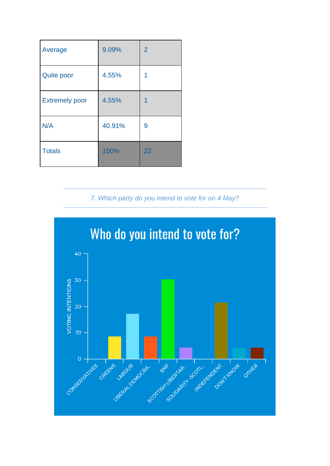| Average               | 9.09%  | $\overline{2}$ |
|-----------------------|--------|----------------|
| <b>Quite poor</b>     | 4.55%  | 1              |
| <b>Extremely poor</b> | 4.55%  | 1              |
| N/A                   | 40.91% | 9              |
| <b>Totals</b>         | 100%   | 22             |

### *7. Which party do you intend to vote for on 4 May?*

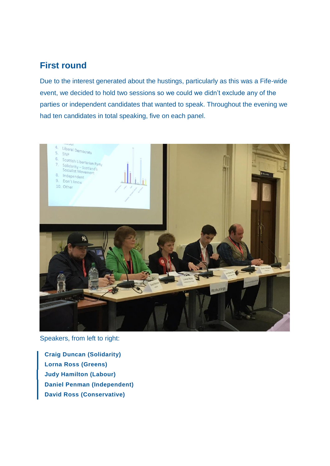### **First round**

Due to the interest generated about the hustings, particularly as this was a Fife-wide event, we decided to hold two sessions so we could we didn't exclude any of the parties or independent candidates that wanted to speak. Throughout the evening we had ten candidates in total speaking, five on each panel.



Speakers, from left to right:

**Craig Duncan (Solidarity) Lorna Ross (Greens) Judy Hamilton (Labour) Daniel Penman (Independent) David Ross (Conservative)**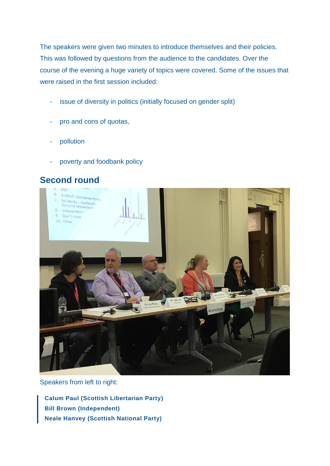The speakers were given two minutes to introduce themselves and their policies. This was followed by questions from the audience to the candidates. Over the course of the evening a huge variety of topics were covered. Some of the issues that were raised in the first session included:

- issue of diversity in politics (initially focused on gender split)
- pro and cons of quotas,
- pollution
- poverty and foodbank policy





Speakers from left to right:

**Calum Paul (Scottish Libertarian Party) Bill Brown (Independent) Neale Hanvey (Scottish National Party)**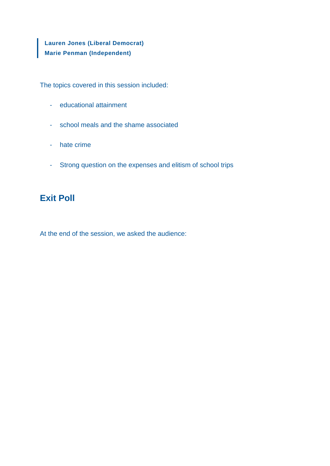**Lauren Jones (Liberal Democrat) Marie Penman (Independent)**

The topics covered in this session included:

- educational attainment
- school meals and the shame associated
- hate crime
- Strong question on the expenses and elitism of school trips

### **Exit Poll**

At the end of the session, we asked the audience: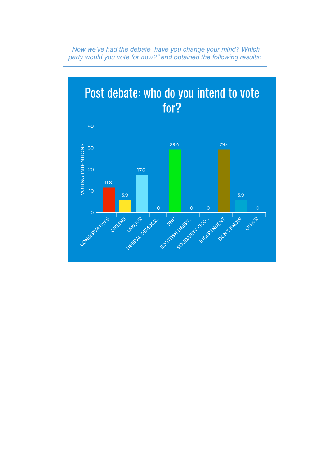

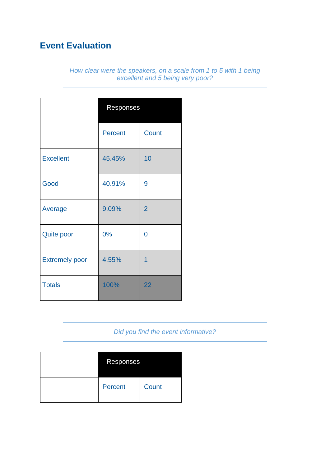# **Event Evaluation**

*How clear were the speakers, on a scale from 1 to 5 with 1 being excellent and 5 being very poor?* 

|                       | Responses      |                |
|-----------------------|----------------|----------------|
|                       | <b>Percent</b> | <b>Count</b>   |
| <b>Excellent</b>      | 45.45%         | 10             |
| Good                  | 40.91%         | 9              |
| Average               | 9.09%          | $\overline{2}$ |
| <b>Quite poor</b>     | 0%             | 0              |
| <b>Extremely poor</b> | 4.55%          | $\overline{1}$ |
| <b>Totals</b>         | 100%           | 22             |

### *Did you find the event informative?*

| Responses |       |
|-----------|-------|
| Percent   | Count |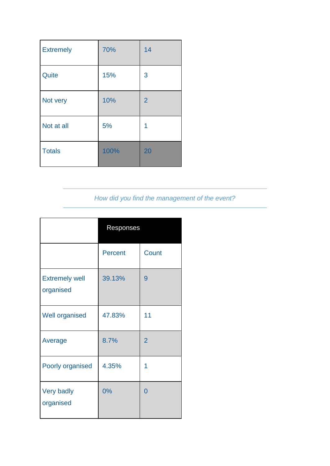| <b>Extremely</b> | 70%  | 14             |
|------------------|------|----------------|
| Quite            | 15%  | 3              |
| Not very         | 10%  | $\overline{2}$ |
| Not at all       | 5%   | 1              |
| <b>Totals</b>    | 100% | 20             |

## *How did you find the management of the event?*

|                                    | Responses      |                |
|------------------------------------|----------------|----------------|
|                                    | <b>Percent</b> | Count          |
| <b>Extremely well</b><br>organised | 39.13%         | 9              |
| <b>Well organised</b>              | 47.83%         | 11             |
| Average                            | 8.7%           | $\overline{2}$ |
| Poorly organised                   | 4.35%          | 1              |
| <b>Very badly</b><br>organised     | 0%             | 0              |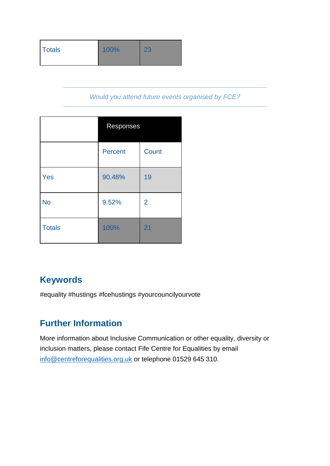| Totals | 100% | 23 |
|--------|------|----|
|        |      |    |

*Would you attend future events organised by FCE?* 

|               | Responses      |                |
|---------------|----------------|----------------|
|               | <b>Percent</b> | Count          |
| Yes           | 90.48%         | 19             |
| <b>No</b>     | 9.52%          | $\overline{2}$ |
| <b>Totals</b> | 100%           | 21             |

# **Keywords**

#equality #hustings #fcehustings #yourcouncilyourvote

# **Further Information**

More information about Inclusive Communication or other equality, diversity or inclusion matters, please contact Fife Centre for Equalities by email [info@centreforequalities.org.uk](mailto:info@centreforequalities.org.uk) or telephone 01529 645 310.